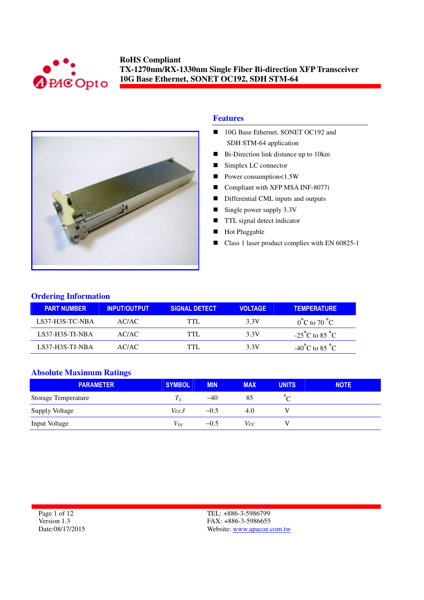



#### **Features**

- 10G Base Ethernet, SONET OC192 and SDH STM-64 application
- Bi-Direction link distance up to 10km
- Simplex LC connector
- Power consumption<1.5W
- Compliant with XFP MSA INF-8077i
- Differential CML inputs and outputs
- Single power supply  $3.3V$
- **TTL** signal detect indicator
- Hot Pluggable
- Class 1 laser product complies with EN 60825-1

#### **Ordering Information**

| <b>PART NUMBER</b> | <b>INPUT/OUTPUT</b> | <b>SIGNAL DETECT</b> | <b>VOLTAGE</b> | <b>TEMPERATURE</b>                 |
|--------------------|---------------------|----------------------|----------------|------------------------------------|
| LS37-H3S-TC-NBA    | AC/AC               | TTL.                 | 3.3V           | $0^{\circ}$ C to 70 $^{\circ}$ C   |
| LS37-H3S-TI-NBA    | AC/AC               | TTL.                 | 3.3V           | $-25^{\circ}$ C to 85 $^{\circ}$ C |
| LS37-H3S-TJ-NBA    | AC/AC               | TTI .                | 3.3V           | $-40^{\circ}$ C to 85 $^{\circ}$ C |

#### **Absolute Maximum Ratings**

| <b>PARAMETER</b>           | <b>SYMBOL</b> | <b>MIN</b> | <b>MAX</b> | <b>UNITS</b> | <b>NOTE</b> |
|----------------------------|---------------|------------|------------|--------------|-------------|
| <b>Storage Temperature</b> | $I_{S}$       | $-40$      | 85         |              |             |
| <b>Supply Voltage</b>      | Vcc3          | $-0.5$     | 4.0        |              |             |
| <b>Input Voltage</b>       | $V_{IN}$      | $-0.5$     | Vcc        |              |             |

Page 1 of 12 Version 1.3 Date:08/17/2015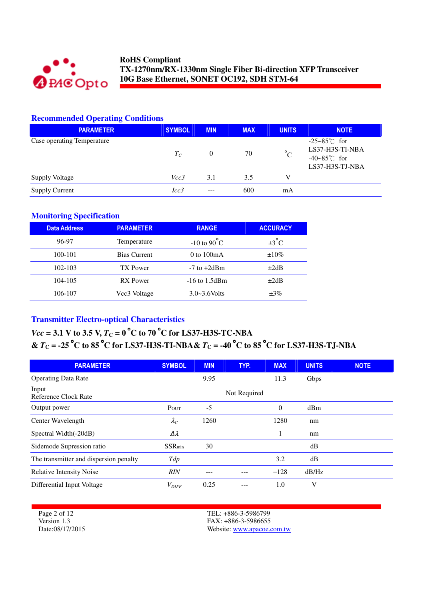

# **Recommended Operating Conditions**

| <b>PARAMETER</b>           | <b>SYMBOL</b> | <b>MIN</b> | <b>MAX</b> | <b>UNITS</b> | <b>NOTE</b>                                                                            |
|----------------------------|---------------|------------|------------|--------------|----------------------------------------------------------------------------------------|
| Case operating Temperature | $T_C$         | $\theta$   | 70         | $^{\circ}C$  | $-25 - 85^{\circ}$ for<br>LS37-H3S-TI-NBA<br>$-40-85^{\circ}$ C for<br>LS37-H3S-TJ-NBA |
| <b>Supply Voltage</b>      | Vcc3          | 3.1        | 3.5        |              |                                                                                        |
| <b>Supply Current</b>      | Icc3          | $- - -$    | 600        | mA           |                                                                                        |

#### **Monitoring Specification**

| <b>Data Address</b> | <b>PARAMETER</b>    | <b>RANGE</b>            | <b>ACCURACY</b>   |
|---------------------|---------------------|-------------------------|-------------------|
| 96-97               | Temperature         | $-10$ to $90^{\circ}$ C | $\pm 3^{\circ}$ C |
| 100-101             | <b>Bias Current</b> | $0$ to $100mA$          | $\pm 10\%$        |
| 102-103             | TX Power            | $-7$ to $+2d$ Bm        | $\pm 2dB$         |
| 104-105             | <b>RX</b> Power     | $-16$ to $1.5$ dBm      | $\pm 2dB$         |
| 106-107             | Vcc3 Voltage        | $3.0 - 3.6$ Volts       | $\pm 3\%$         |

# **Transmitter Electro-optical Characteristics**

# *Vcc* = 3.1 V to 3.5 V,  $T_c = 0$  °C to 70 °C for LS37-H3S-TC-NBA **&** *T***C = -25** °**C to 85** °**C for LS37-H3S-TI-NBA&** *T***C = -40** °**C to 85** °**C for LS37-H3S-TJ-NBA**

| <b>PARAMETER</b>                       | <b>SYMBOL</b>  | <b>MIN</b> | TYP.         | <b>MAX</b> | <b>UNITS</b> | <b>NOTE</b> |
|----------------------------------------|----------------|------------|--------------|------------|--------------|-------------|
| <b>Operating Data Rate</b>             |                | 9.95       |              | 11.3       | Gbps         |             |
| Input<br>Reference Clock Rate          |                |            | Not Required |            |              |             |
| Output power                           | POUT           | -5         |              | $\theta$   | dBm          |             |
| Center Wavelength                      | $\lambda_C$    | 1260       |              | 1280       | nm           |             |
| Spectral Width(-20dB)                  | Δλ             |            |              |            | nm           |             |
| Sidemode Supression ratio              | <b>SSR</b> min | 30         |              |            | dB           |             |
| The transmitter and dispersion penalty | Tdp            |            |              | 3.2        | dB           |             |
| <b>Relative Intensity Noise</b>        | <b>RIN</b>     | ---        |              | $-128$     | dB/Hz        |             |
| Differential Input Voltage             | $V_{DIFF}$     | 0.25       | ---          | 1.0        | V            |             |

Page 2 of 12 Version 1.3 Date:08/17/2015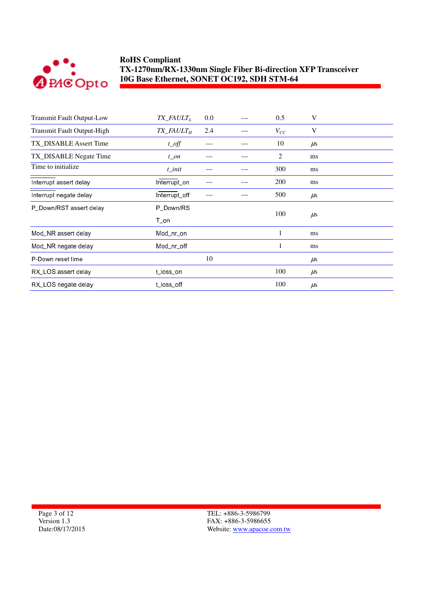

| <b>Transmit Fault Output-Low</b> | $TX$ <sub>_FAULT<sub>L</sub></sub> | 0.0 | 0.5            | V       |
|----------------------------------|------------------------------------|-----|----------------|---------|
| Transmit Fault Output-High       | $TX$ <sub>_FAULT<sub>H</sub></sub> | 2.4 | $V_{CC}$       | V       |
| TX_DISABLE Assert Time           | $t$ <sub><math>0</math></sub> $ff$ |     | 10             | $\mu$ s |
| TX_DISABLE Negate Time           | $t$ on                             |     | $\overline{c}$ | ms      |
| Time to initialize               | $t$ _init                          |     | 300            | ms      |
| Interrupt assert delay           | Interrupt_on                       |     | 200            | ms      |
| Interrupt negate delay           | Interrupt_off                      |     | 500            | $\mu$ s |
| P_Down/RST assert delay          | P_Down/RS                          |     |                |         |
|                                  | $T\_on$                            |     | 100            | $\mu$ s |
| Mod_NR assert delay              | Mod nr on                          |     | 1              | ms      |
| Mod_NR negate delay              | Mod_nr_off                         |     | 1              | ms      |
| P-Down reset time                |                                    | 10  |                | $\mu$ s |
| RX_LOS assert delay              | t_loss_on                          |     | 100            | $\mu$ s |
| RX_LOS negate delay              | t loss off                         |     | 100            | $\mu$ s |

Page 3 of 12 Version 1.3 Date:08/17/2015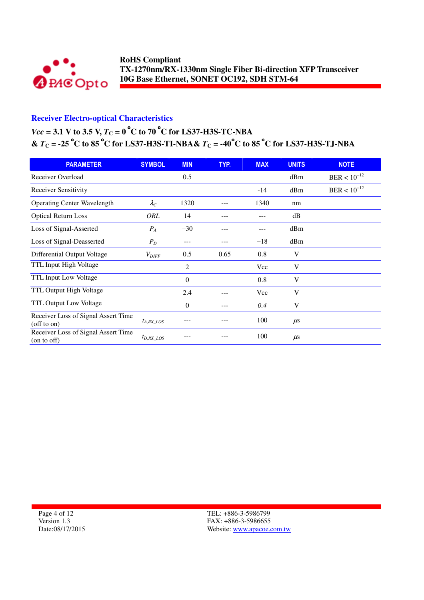

# **Receiver Electro-optical Characteristics**

# *Vcc* = 3.1 V to 3.5 V,  $T_C = 0$  °C to 70 °C for LS37-H3S-TC-NBA **&**  $T_c$  = -25 °C to 85 °C for LS37-H3S-TI-NBA&  $T_c$  = -40°C to 85 °C for LS37-H3S-TJ-NBA

| <b>PARAMETER</b>                                         | <b>SYMBOL</b>       | <b>MIN</b>     | TYP. | <b>MAX</b> | <b>UNITS</b> | <b>NOTE</b>      |
|----------------------------------------------------------|---------------------|----------------|------|------------|--------------|------------------|
| Receiver Overload                                        |                     | 0.5            |      |            | dBm          | $BER < 10^{-12}$ |
| <b>Receiver Sensitivity</b>                              |                     |                |      | $-14$      | dBm          | $BER < 10^{-12}$ |
| <b>Operating Center Wavelength</b>                       | $\lambda_C$         | 1320           |      | 1340       | nm           |                  |
| <b>Optical Return Loss</b>                               | ORL                 | 14             |      |            | dB           |                  |
| Loss of Signal-Asserted                                  | $P_A$               | $-30$          |      |            | dBm          |                  |
| Loss of Signal-Deasserted                                | $P_D$               | ---            |      | $-18$      | dBm          |                  |
| Differential Output Voltage                              | $V_{\mathit{DIFF}}$ | 0.5            | 0.65 | 0.8        | V            |                  |
| TTL Input High Voltage                                   |                     | $\overline{c}$ |      | Vcc        | V            |                  |
| TTL Input Low Voltage                                    |                     | $\theta$       |      | 0.8        | V            |                  |
| TTL Output High Voltage                                  |                     | 2.4            |      | Vcc        | V            |                  |
| TTL Output Low Voltage                                   |                     | $\theta$       |      | 0.4        | V            |                  |
| Receiver Loss of Signal Assert Time<br>$($ off to on $)$ | $t_{A, RX\_LOS}$    |                |      | 100        | $\mu$ s      |                  |
| Receiver Loss of Signal Assert Time<br>(on to off)       | $t_{D,RX\_LOS}$     |                |      | 100        | $\mu$ s      |                  |

Page 4 of 12 Version 1.3 Date:08/17/2015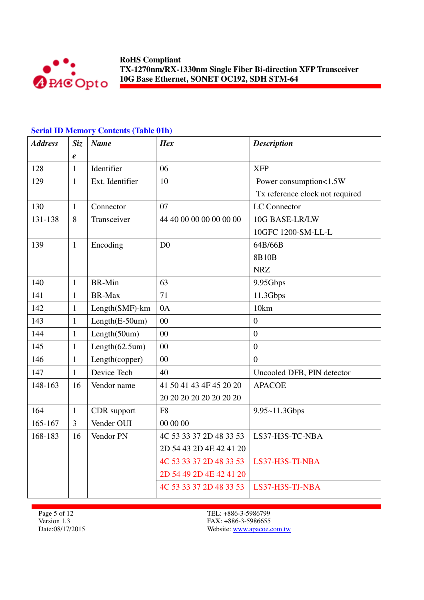

# **Serial ID Memory Contents (Table 01h)**

| <b>Address</b> | Siz.           | <b>Name</b>           | <b>Hex</b>              | <b>Description</b>              |
|----------------|----------------|-----------------------|-------------------------|---------------------------------|
|                | $\pmb{e}$      |                       |                         |                                 |
| 128            | $\mathbf{1}$   | Identifier            | 06                      | <b>XFP</b>                      |
| 129            | $\mathbf{1}$   | Ext. Identifier       | 10                      | Power consumption<1.5W          |
|                |                |                       |                         | Tx reference clock not required |
| 130            | $\mathbf{1}$   | Connector             | 07                      | <b>LC</b> Connector             |
| 131-138        | 8              | Transceiver           | 44 40 00 00 00 00 00 00 | 10G BASE-LR/LW                  |
|                |                |                       |                         | 10GFC 1200-SM-LL-L              |
| 139            | $\mathbf{1}$   | Encoding              | D <sub>0</sub>          | 64B/66B                         |
|                |                |                       |                         | 8B10B                           |
|                |                |                       |                         | <b>NRZ</b>                      |
| 140            | $\mathbf{1}$   | <b>BR-Min</b>         | 63                      | 9.95Gbps                        |
| 141            | $\mathbf{1}$   | <b>BR-Max</b>         | 71                      | 11.3Gbps                        |
| 142            | $\mathbf{1}$   | Length(SMF)-km        | 0A                      | 10km                            |
| 143            | $\mathbf{1}$   | $Length(E-50um)$      | 00                      | $\boldsymbol{0}$                |
| 144            | $\mathbf{1}$   | Length(50um)          | 0 <sup>0</sup>          | $\overline{0}$                  |
| 145            | $\mathbf{1}$   | Length $(62.5$ um $)$ | 00                      | $\boldsymbol{0}$                |
| 146            | $\mathbf{1}$   | Length(copper)        | 00                      | $\overline{0}$                  |
| 147            | $\mathbf{1}$   | Device Tech           | 40                      | Uncooled DFB, PIN detector      |
| 148-163        | 16             | Vendor name           | 41 50 41 43 4F 45 20 20 | <b>APACOE</b>                   |
|                |                |                       | 20 20 20 20 20 20 20 20 |                                 |
| 164            | $\mathbf{1}$   | CDR support           | F <sub>8</sub>          | 9.95~11.3Gbps                   |
| 165-167        | $\overline{3}$ | Vender OUI            | 00 00 00                |                                 |
| 168-183        | 16             | Vendor PN             | 4C 53 33 37 2D 48 33 53 | LS37-H3S-TC-NBA                 |
|                |                |                       | 2D 54 43 2D 4E 42 41 20 |                                 |
|                |                |                       | 4C 53 33 37 2D 48 33 53 | LS37-H3S-TI-NBA                 |
|                |                |                       | 2D 54 49 2D 4E 42 41 20 |                                 |
|                |                |                       | 4C 53 33 37 2D 48 33 53 | LS37-H3S-TJ-NBA                 |

Page 5 of 12 Version 1.3 Date:08/17/2015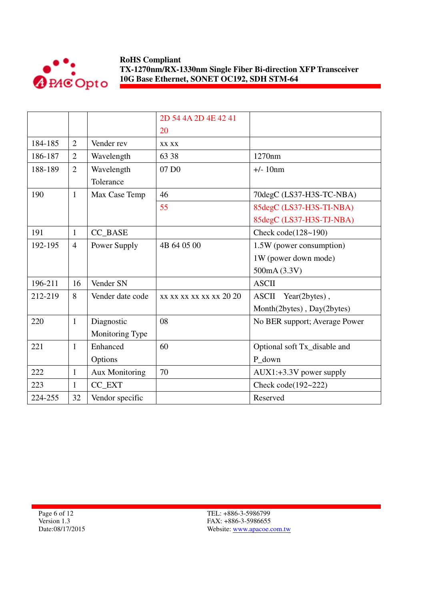

|         |                |                  | 2D 54 4A 2D 4E 42 41    |                               |
|---------|----------------|------------------|-------------------------|-------------------------------|
|         |                |                  | 20                      |                               |
| 184-185 | $\overline{2}$ | Vender rev       | XX XX                   |                               |
| 186-187 | $\overline{2}$ | Wavelength       | 63 38                   | 1270nm                        |
| 188-189 | $\overline{2}$ | Wavelength       | 07 D <sub>0</sub>       | $+/- 10nm$                    |
|         |                | Tolerance        |                         |                               |
| 190     | $\mathbf{1}$   | Max Case Temp    | 46                      | 70degC (LS37-H3S-TC-NBA)      |
|         |                |                  | 55                      | 85degC (LS37-H3S-TI-NBA)      |
|         |                |                  |                         | 85degC (LS37-H3S-TJ-NBA)      |
| 191     | $\mathbf{1}$   | CC BASE          |                         | Check code $(128-190)$        |
| 192-195 | $\overline{4}$ | Power Supply     | 4B 64 05 00             | 1.5W (power consumption)      |
|         |                |                  |                         | 1W (power down mode)          |
|         |                |                  |                         | 500mA (3.3V)                  |
| 196-211 | 16             | Vender SN        |                         | <b>ASCII</b>                  |
| 212-219 | 8              | Vender date code | xx xx xx xx xx xx 20 20 | ASCII Year(2bytes),           |
|         |                |                  |                         | Month(2bytes), Day(2bytes)    |
| 220     | $\mathbf{1}$   | Diagnostic       | 08                      | No BER support; Average Power |
|         |                | Monitoring Type  |                         |                               |
| 221     | $\mathbf{1}$   | Enhanced         | 60                      | Optional soft Tx_disable and  |
|         |                | Options          |                         | P_down                        |
| 222     | $\mathbf{1}$   | Aux Monitoring   | 70                      | $AUX1: +3.3V$ power supply    |
| 223     | $\mathbf{1}$   | CC_EXT           |                         | Check code(192~222)           |
| 224-255 | 32             | Vendor specific  |                         | Reserved                      |

Page 6 of 12 Version 1.3 Date:08/17/2015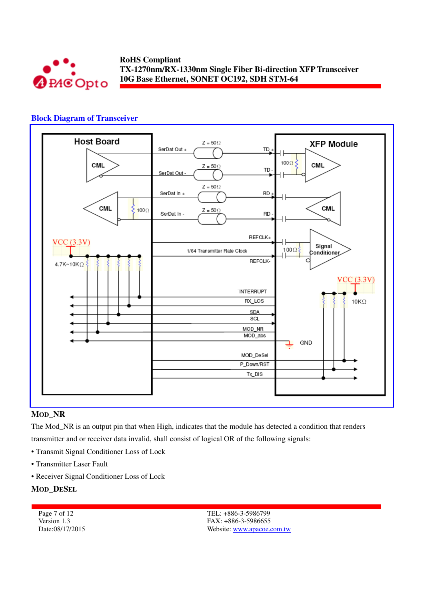

#### **Block Diagram of Transceiver**



#### **MOD\_NR**

The Mod\_NR is an output pin that when High, indicates that the module has detected a condition that renders transmitter and or receiver data invalid, shall consist of logical OR of the following signals:

- Transmit Signal Conditioner Loss of Lock
- Transmitter Laser Fault
- Receiver Signal Conditioner Loss of Lock

#### **MOD\_DESEL**

Page 7 of 12 Version 1.3 Date:08/17/2015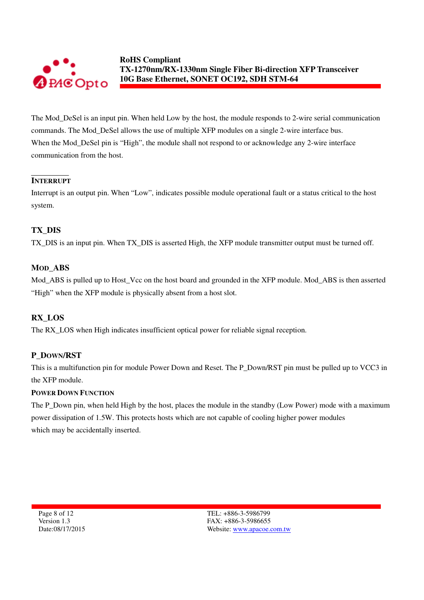

The Mod\_DeSel is an input pin. When held Low by the host, the module responds to 2-wire serial communication commands. The Mod\_DeSel allows the use of multiple XFP modules on a single 2-wire interface bus. When the Mod\_DeSel pin is "High", the module shall not respond to or acknowledge any 2-wire interface communication from the host.

### **INTERRUPT**

Interrupt is an output pin. When "Low", indicates possible module operational fault or a status critical to the host system.

### **TX\_DIS**

TX\_DIS is an input pin. When TX\_DIS is asserted High, the XFP module transmitter output must be turned off.

#### **MOD\_ABS**

Mod ABS is pulled up to Host Vcc on the host board and grounded in the XFP module. Mod ABS is then asserted "High" when the XFP module is physically absent from a host slot.

### **RX\_LOS**

The RX\_LOS when High indicates insufficient optical power for reliable signal reception.

#### **P\_DOWN/RST**

This is a multifunction pin for module Power Down and Reset. The P\_Down/RST pin must be pulled up to VCC3 in the XFP module.

#### **POWER DOWN FUNCTION**

The P\_Down pin, when held High by the host, places the module in the standby (Low Power) mode with a maximum power dissipation of 1.5W. This protects hosts which are not capable of cooling higher power modules which may be accidentally inserted.

Page 8 of 12 Version 1.3 Date:08/17/2015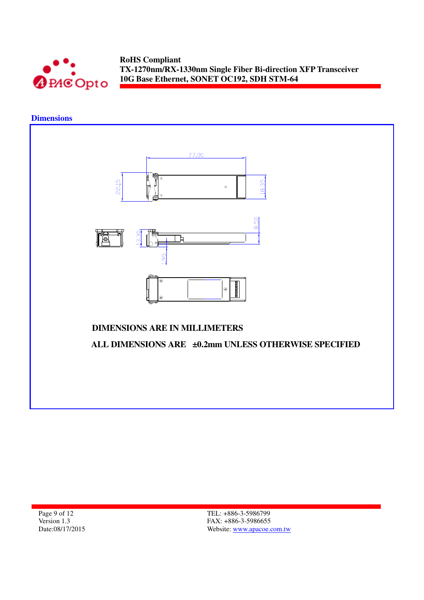

# **Dimensions**



Page 9 of 12 Version 1.3 Date:08/17/2015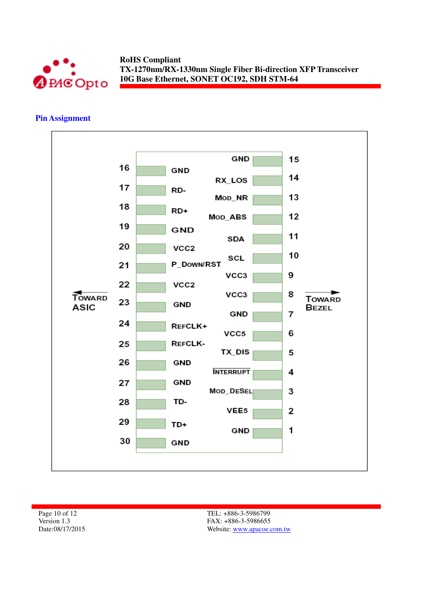

#### **Pin Assignment**



Page 10 of 12 Version 1.3 Date:08/17/2015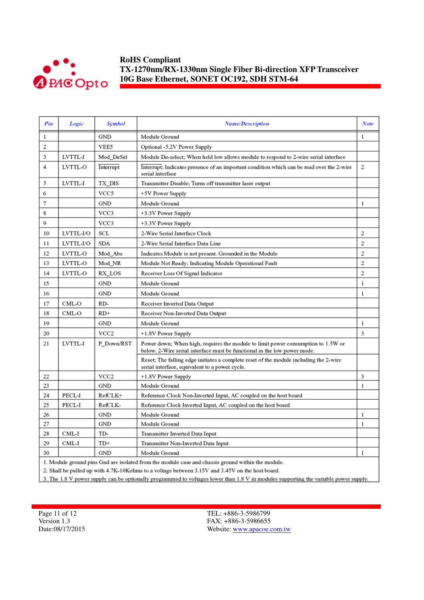

| Pin | Logic     | <b>Symbol</b>    | <b>Name/Description</b>                                                                                                                                      | Note           |
|-----|-----------|------------------|--------------------------------------------------------------------------------------------------------------------------------------------------------------|----------------|
| 1   |           | GND              | Module Ground                                                                                                                                                | 1              |
| 2   |           | VEE5             | Optional -5.2V Power Supply                                                                                                                                  |                |
| 3   | LVTTL-I   | Mod DeSel        | Module De-select; When held low allows module to respond to 2-wire serial interface                                                                          |                |
| 4   | LVTTL-O   | Interrupt        | Interrupt; Indicates presence of an important condition which can be read over the 2-wire<br>serial interface                                                | 2              |
| 5   | LVTTL-I   | TX DIS           | Transmitter Disable; Turns off transmitter laser output                                                                                                      |                |
| 6   |           | VCC5             | +5V Power Supply                                                                                                                                             |                |
| 7   |           | GND              | Module Ground                                                                                                                                                | 1              |
| 8   |           | VCC3             | +3.3V Power Supply                                                                                                                                           |                |
| 9   |           | VCC3             | +3.3V Power Supply                                                                                                                                           |                |
| 10  | LVTTL-I/O | SCL              | 2-Wire Serial Interface Clock                                                                                                                                | 2              |
| 11  | LVTTL-I/O | SDA              | 2-Wire Serial Interface Data Line                                                                                                                            | $\overline{2}$ |
| 12  | LVTTL-O   | Mod_Abs          | Indicates Module is not present. Grounded in the Module                                                                                                      | 2              |
| 13  | LVTTL-O   | Mod NR           | Module Not Ready; Indicating Module Operational Fault                                                                                                        | 2              |
| 14  | LVTTL-O   | RX LOS           | Receiver Loss Of Signal Indicator                                                                                                                            | 2              |
| 15  |           | GND              | Module Ground                                                                                                                                                | 1              |
| 16  |           | GND              | Module Ground                                                                                                                                                | 1              |
| 17  | CML-O     | RD-              | Receiver Inverted Data Output                                                                                                                                |                |
| 18  | CML-O     | $RD+$            | Receiver Non-Inverted Data Output                                                                                                                            |                |
| 19  |           | GND              | Module Ground                                                                                                                                                | 1              |
| 20  |           | VCC <sub>2</sub> | +1.8V Power Supply                                                                                                                                           | 3              |
| 21  | LVTTL-I   | P Down/RST       | Power down; When high, requires the module to limit power consumption to 1.5W or<br>below. 2-Wire serial interface must be functional in the low power mode. |                |
|     |           |                  | Reset; The falling edge initiates a complete reset of the module including the 2-wire<br>serial interface, equivalent to a power cycle.                      |                |
| 22  |           | VCC <sub>2</sub> | +1.8V Power Supply                                                                                                                                           | 3              |
| 23  |           | GND              | Module Ground                                                                                                                                                | 1              |
| 24  | PECL-I    | RefCLK+          | Reference Clock Non-Inverted Input, AC coupled on the host board                                                                                             |                |
| 25  | PECL-I    | RefCLK-          | Reference Clock Inverted Input, AC coupled on the host board                                                                                                 |                |
| 26  |           | <b>GND</b>       | Module Ground                                                                                                                                                | $\mathbf{1}$   |
| 27  |           | GND              | Module Ground                                                                                                                                                | 1              |
| 28  | CML-I     | TD-              | Transmitter Inverted Data Input                                                                                                                              |                |
| 29  | CML-I     | TD+              | Transmitter Non-Inverted Data Input                                                                                                                          |                |
| 30  |           | GND              | Module Ground                                                                                                                                                | 1              |
|     |           |                  | 1. Module ground pins Gnd are isolated from the module case and chassis ground within the module.                                                            |                |

2. Shall be pulled up with 4.7K-10Kohms to a voltage between 3.15V and 3.45V on the host board.

3. The 1.8 V power supply can be optionally programmed to voltages lower than 1.8 V in modules supporting the variable power supply.

Page 11 of 12 Version 1.3 Date:08/17/2015